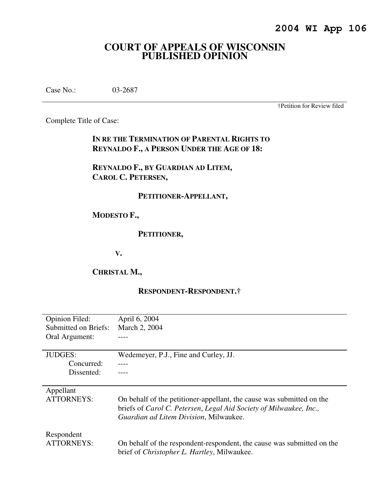# **COURT OF APPEALS OF WISCONSIN PUBLISHED OPINION**

Case No.: 03-2687

†Petition for Review filed

Complete Title of Case:

**IN RE THE TERMINATION OF PARENTAL RIGHTS TO REYNALDO F., A PERSON UNDER THE AGE OF 18:** 

**REYNALDO F., BY GUARDIAN AD LITEM, CAROL C. PETERSEN,** 

## **PETITIONER-APPELLANT,**

# **MODESTO F.,**

#### **PETITIONER,**

**V.** 

# **CHRISTAL M.,**

## **RESPONDENT-RESPONDENT.†**

| April 6, 2004                                                          |
|------------------------------------------------------------------------|
| March 2, 2004                                                          |
|                                                                        |
|                                                                        |
| Wedemeyer, P.J., Fine and Curley, JJ.                                  |
|                                                                        |
|                                                                        |
|                                                                        |
|                                                                        |
| On behalf of the petitioner-appellant, the cause was submitted on the  |
| briefs of Carol C. Petersen, Legal Aid Society of Milwaukee, Inc.,     |
| Guardian ad Litem Division, Milwaukee.                                 |
|                                                                        |
|                                                                        |
| On behalf of the respondent-respondent, the cause was submitted on the |
| brief of <i>Christopher L. Hartley</i> , Milwaukee.                    |
|                                                                        |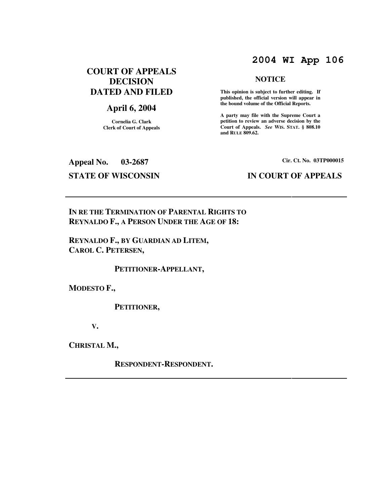# **2004 WI App 106**

**NOTICE** 

 **This opinion is subject to further editing. If published, the official version will appear in the bound volume of the Official Reports. A party may file with the Supreme Court a petition to review an adverse decision by the Court of Appeals.** *See* **WIS. STAT. § 808.10** 

**and RULE 809.62.** 

# **COURT OF APPEALS DECISION DATED AND FILED**

# **April 6, 2004**

**Cornelia G. Clark Clerk of Court of Appeals**

# **Appeal No. 03-2687 Cir. Ct. No. 03TP000015**

## **STATE OF WISCONSIN IN COURT OF APPEALS**

**IN RE THE TERMINATION OF PARENTAL RIGHTS TO REYNALDO F., A PERSON UNDER THE AGE OF 18:** 

**REYNALDO F., BY GUARDIAN AD LITEM, CAROL C. PETERSEN,** 

 **PETITIONER-APPELLANT,** 

**MODESTO F.,** 

 **PETITIONER,** 

**V.** 

**CHRISTAL M.,** 

 **RESPONDENT-RESPONDENT.**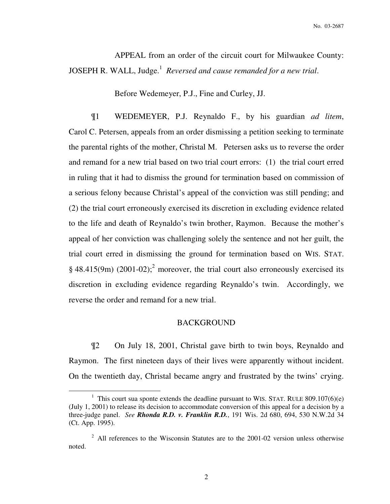APPEAL from an order of the circuit court for Milwaukee County: JOSEPH R. WALL, Judge.<sup>1</sup> Reversed and cause remanded for a new trial.

Before Wedemeyer, P.J., Fine and Curley, JJ.

¶1 WEDEMEYER, P.J. Reynaldo F., by his guardian *ad litem*, Carol C. Petersen, appeals from an order dismissing a petition seeking to terminate the parental rights of the mother, Christal M. Petersen asks us to reverse the order and remand for a new trial based on two trial court errors: (1) the trial court erred in ruling that it had to dismiss the ground for termination based on commission of a serious felony because Christal's appeal of the conviction was still pending; and (2) the trial court erroneously exercised its discretion in excluding evidence related to the life and death of Reynaldo's twin brother, Raymon. Because the mother's appeal of her conviction was challenging solely the sentence and not her guilt, the trial court erred in dismissing the ground for termination based on WIS. STAT.  $\S$  48.415(9m) (2001-02);<sup>2</sup> moreover, the trial court also erroneously exercised its discretion in excluding evidence regarding Reynaldo's twin. Accordingly, we reverse the order and remand for a new trial.

## BACKGROUND

¶2 On July 18, 2001, Christal gave birth to twin boys, Reynaldo and Raymon. The first nineteen days of their lives were apparently without incident. On the twentieth day, Christal became angry and frustrated by the twins' crying.

 $\overline{a}$ 

<sup>&</sup>lt;sup>1</sup> This court sua sponte extends the deadline pursuant to WIS. STAT. RULE 809.107(6)(e) (July 1, 2001) to release its decision to accommodate conversion of this appeal for a decision by a three-judge panel. *See Rhonda R.D. v. Franklin R.D.*, 191 Wis. 2d 680, 694, 530 N.W.2d 34 (Ct. App. 1995).

 $2$  All references to the Wisconsin Statutes are to the 2001-02 version unless otherwise noted.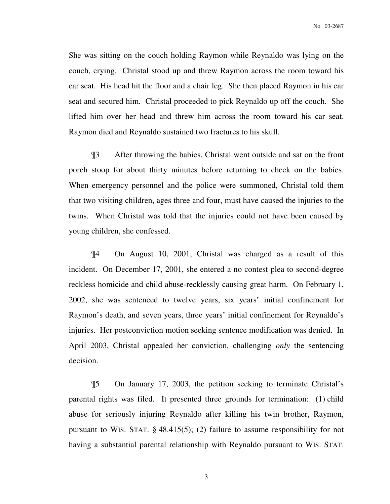She was sitting on the couch holding Raymon while Reynaldo was lying on the couch, crying. Christal stood up and threw Raymon across the room toward his car seat. His head hit the floor and a chair leg. She then placed Raymon in his car seat and secured him. Christal proceeded to pick Reynaldo up off the couch. She lifted him over her head and threw him across the room toward his car seat. Raymon died and Reynaldo sustained two fractures to his skull.

¶3 After throwing the babies, Christal went outside and sat on the front porch stoop for about thirty minutes before returning to check on the babies. When emergency personnel and the police were summoned, Christal told them that two visiting children, ages three and four, must have caused the injuries to the twins. When Christal was told that the injuries could not have been caused by young children, she confessed.

¶4 On August 10, 2001, Christal was charged as a result of this incident. On December 17, 2001, she entered a no contest plea to second-degree reckless homicide and child abuse-recklessly causing great harm. On February 1, 2002, she was sentenced to twelve years, six years' initial confinement for Raymon's death, and seven years, three years' initial confinement for Reynaldo's injuries. Her postconviction motion seeking sentence modification was denied. In April 2003, Christal appealed her conviction, challenging *only* the sentencing decision.

¶5 On January 17, 2003, the petition seeking to terminate Christal's parental rights was filed. It presented three grounds for termination: (1) child abuse for seriously injuring Reynaldo after killing his twin brother, Raymon, pursuant to WIS. STAT.  $\S$  48.415(5); (2) failure to assume responsibility for not having a substantial parental relationship with Reynaldo pursuant to WIS. STAT.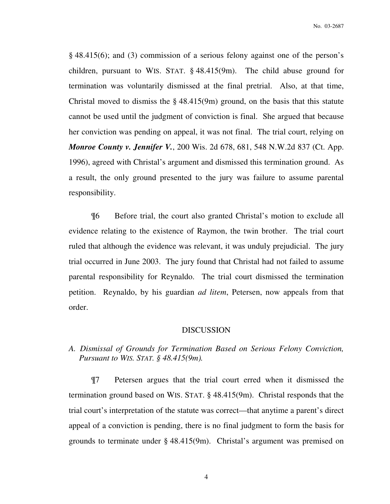§ 48.415(6); and (3) commission of a serious felony against one of the person's children, pursuant to WIS. STAT. § 48.415(9m). The child abuse ground for termination was voluntarily dismissed at the final pretrial. Also, at that time, Christal moved to dismiss the  $\S$  48.415(9m) ground, on the basis that this statute cannot be used until the judgment of conviction is final. She argued that because her conviction was pending on appeal, it was not final. The trial court, relying on *Monroe County v. Jennifer V.*, 200 Wis. 2d 678, 681, 548 N.W.2d 837 (Ct. App. 1996), agreed with Christal's argument and dismissed this termination ground. As a result, the only ground presented to the jury was failure to assume parental responsibility.

¶6 Before trial, the court also granted Christal's motion to exclude all evidence relating to the existence of Raymon, the twin brother. The trial court ruled that although the evidence was relevant, it was unduly prejudicial. The jury trial occurred in June 2003. The jury found that Christal had not failed to assume parental responsibility for Reynaldo. The trial court dismissed the termination petition. Reynaldo, by his guardian *ad litem*, Petersen, now appeals from that order.

#### DISCUSSION

*A. Dismissal of Grounds for Termination Based on Serious Felony Conviction, Pursuant to WIS. STAT. § 48.415(9m).*

¶7 Petersen argues that the trial court erred when it dismissed the termination ground based on WIS. STAT. § 48.415(9m). Christal responds that the trial court's interpretation of the statute was correct—that anytime a parent's direct appeal of a conviction is pending, there is no final judgment to form the basis for grounds to terminate under § 48.415(9m). Christal's argument was premised on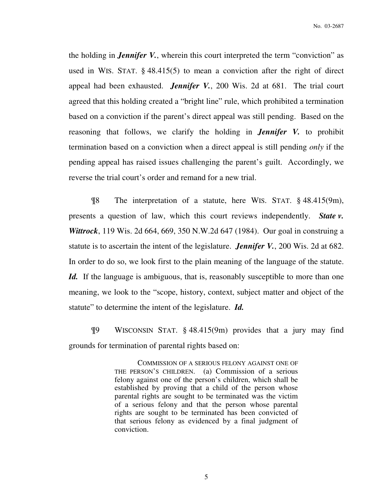the holding in *Jennifer V.*, wherein this court interpreted the term "conviction" as used in WIS. STAT. § 48.415(5) to mean a conviction after the right of direct appeal had been exhausted. *Jennifer V.*, 200 Wis. 2d at 681. The trial court agreed that this holding created a "bright line" rule, which prohibited a termination based on a conviction if the parent's direct appeal was still pending. Based on the reasoning that follows, we clarify the holding in *Jennifer V.* to prohibit termination based on a conviction when a direct appeal is still pending *only* if the pending appeal has raised issues challenging the parent's guilt. Accordingly, we reverse the trial court's order and remand for a new trial.

¶8 The interpretation of a statute, here WIS. STAT. § 48.415(9m), presents a question of law, which this court reviews independently. *State v. Wittrock*, 119 Wis. 2d 664, 669, 350 N.W.2d 647 (1984). Our goal in construing a statute is to ascertain the intent of the legislature. *Jennifer V.*, 200 Wis. 2d at 682. In order to do so, we look first to the plain meaning of the language of the statute. *Id.* If the language is ambiguous, that is, reasonably susceptible to more than one meaning, we look to the "scope, history, context, subject matter and object of the statute" to determine the intent of the legislature. *Id.* 

¶9 WISCONSIN STAT. § 48.415(9m) provides that a jury may find grounds for termination of parental rights based on:

> COMMISSION OF A SERIOUS FELONY AGAINST ONE OF THE PERSON'S CHILDREN. (a) Commission of a serious felony against one of the person's children, which shall be established by proving that a child of the person whose parental rights are sought to be terminated was the victim of a serious felony and that the person whose parental rights are sought to be terminated has been convicted of that serious felony as evidenced by a final judgment of conviction.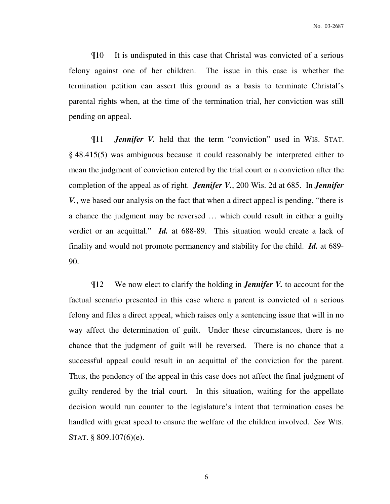¶10 It is undisputed in this case that Christal was convicted of a serious felony against one of her children. The issue in this case is whether the termination petition can assert this ground as a basis to terminate Christal's parental rights when, at the time of the termination trial, her conviction was still pending on appeal.

¶11 *Jennifer V.* held that the term "conviction" used in WIS. STAT. § 48.415(5) was ambiguous because it could reasonably be interpreted either to mean the judgment of conviction entered by the trial court or a conviction after the completion of the appeal as of right. *Jennifer V.*, 200 Wis. 2d at 685. In *Jennifer V.*, we based our analysis on the fact that when a direct appeal is pending, "there is a chance the judgment may be reversed … which could result in either a guilty verdict or an acquittal." *Id.* at 688-89. This situation would create a lack of finality and would not promote permanency and stability for the child. *Id.* at 689- 90.

¶12 We now elect to clarify the holding in *Jennifer V.* to account for the factual scenario presented in this case where a parent is convicted of a serious felony and files a direct appeal, which raises only a sentencing issue that will in no way affect the determination of guilt. Under these circumstances, there is no chance that the judgment of guilt will be reversed. There is no chance that a successful appeal could result in an acquittal of the conviction for the parent. Thus, the pendency of the appeal in this case does not affect the final judgment of guilty rendered by the trial court. In this situation, waiting for the appellate decision would run counter to the legislature's intent that termination cases be handled with great speed to ensure the welfare of the children involved. *See* WIS. STAT. § 809.107(6)(e).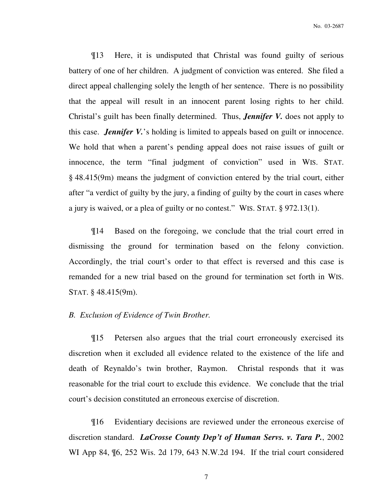¶13 Here, it is undisputed that Christal was found guilty of serious battery of one of her children. A judgment of conviction was entered. She filed a direct appeal challenging solely the length of her sentence. There is no possibility that the appeal will result in an innocent parent losing rights to her child. Christal's guilt has been finally determined. Thus, *Jennifer V.* does not apply to this case. *Jennifer V.*'s holding is limited to appeals based on guilt or innocence. We hold that when a parent's pending appeal does not raise issues of guilt or innocence, the term "final judgment of conviction" used in WIS. STAT. § 48.415(9m) means the judgment of conviction entered by the trial court, either after "a verdict of guilty by the jury, a finding of guilty by the court in cases where a jury is waived, or a plea of guilty or no contest." WIS. STAT. § 972.13(1).

¶14 Based on the foregoing, we conclude that the trial court erred in dismissing the ground for termination based on the felony conviction. Accordingly, the trial court's order to that effect is reversed and this case is remanded for a new trial based on the ground for termination set forth in WIS. STAT. § 48.415(9m).

#### *B. Exclusion of Evidence of Twin Brother.*

¶15 Petersen also argues that the trial court erroneously exercised its discretion when it excluded all evidence related to the existence of the life and death of Reynaldo's twin brother, Raymon. Christal responds that it was reasonable for the trial court to exclude this evidence. We conclude that the trial court's decision constituted an erroneous exercise of discretion.

¶16 Evidentiary decisions are reviewed under the erroneous exercise of discretion standard. *LaCrosse County Dep't of Human Servs. v. Tara P.*, 2002 WI App 84, ¶6, 252 Wis. 2d 179, 643 N.W.2d 194. If the trial court considered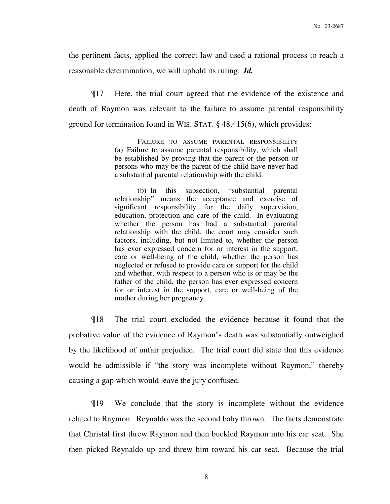the pertinent facts, applied the correct law and used a rational process to reach a reasonable determination, we will uphold its ruling. *Id.*

¶17 Here, the trial court agreed that the evidence of the existence and death of Raymon was relevant to the failure to assume parental responsibility ground for termination found in WIS. STAT. § 48.415(6), which provides:

> FAILURE TO ASSUME PARENTAL RESPONSIBILITY (a) Failure to assume parental responsibility, which shall be established by proving that the parent or the person or persons who may be the parent of the child have never had a substantial parental relationship with the child.

> (b) In this subsection, "substantial parental relationship" means the acceptance and exercise of significant responsibility for the daily supervision, education, protection and care of the child. In evaluating whether the person has had a substantial parental relationship with the child, the court may consider such factors, including, but not limited to, whether the person has ever expressed concern for or interest in the support, care or well-being of the child, whether the person has neglected or refused to provide care or support for the child and whether, with respect to a person who is or may be the father of the child, the person has ever expressed concern for or interest in the support, care or well-being of the mother during her pregnancy.

¶18 The trial court excluded the evidence because it found that the probative value of the evidence of Raymon's death was substantially outweighed by the likelihood of unfair prejudice. The trial court did state that this evidence would be admissible if "the story was incomplete without Raymon," thereby causing a gap which would leave the jury confused.

¶19 We conclude that the story is incomplete without the evidence related to Raymon. Reynaldo was the second baby thrown. The facts demonstrate that Christal first threw Raymon and then buckled Raymon into his car seat. She then picked Reynaldo up and threw him toward his car seat. Because the trial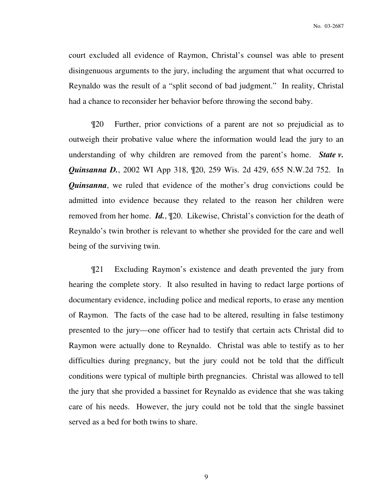court excluded all evidence of Raymon, Christal's counsel was able to present disingenuous arguments to the jury, including the argument that what occurred to Reynaldo was the result of a "split second of bad judgment." In reality, Christal had a chance to reconsider her behavior before throwing the second baby.

¶20 Further, prior convictions of a parent are not so prejudicial as to outweigh their probative value where the information would lead the jury to an understanding of why children are removed from the parent's home. *State v. Quinsanna D.*, 2002 WI App 318,  $[20, 259$  Wis. 2d 429, 655 N.W.2d 752. In *Quinsanna*, we ruled that evidence of the mother's drug convictions could be admitted into evidence because they related to the reason her children were removed from her home. *Id.*, ¶20. Likewise, Christal's conviction for the death of Reynaldo's twin brother is relevant to whether she provided for the care and well being of the surviving twin.

¶21 Excluding Raymon's existence and death prevented the jury from hearing the complete story. It also resulted in having to redact large portions of documentary evidence, including police and medical reports, to erase any mention of Raymon. The facts of the case had to be altered, resulting in false testimony presented to the jury—one officer had to testify that certain acts Christal did to Raymon were actually done to Reynaldo. Christal was able to testify as to her difficulties during pregnancy, but the jury could not be told that the difficult conditions were typical of multiple birth pregnancies. Christal was allowed to tell the jury that she provided a bassinet for Reynaldo as evidence that she was taking care of his needs. However, the jury could not be told that the single bassinet served as a bed for both twins to share.